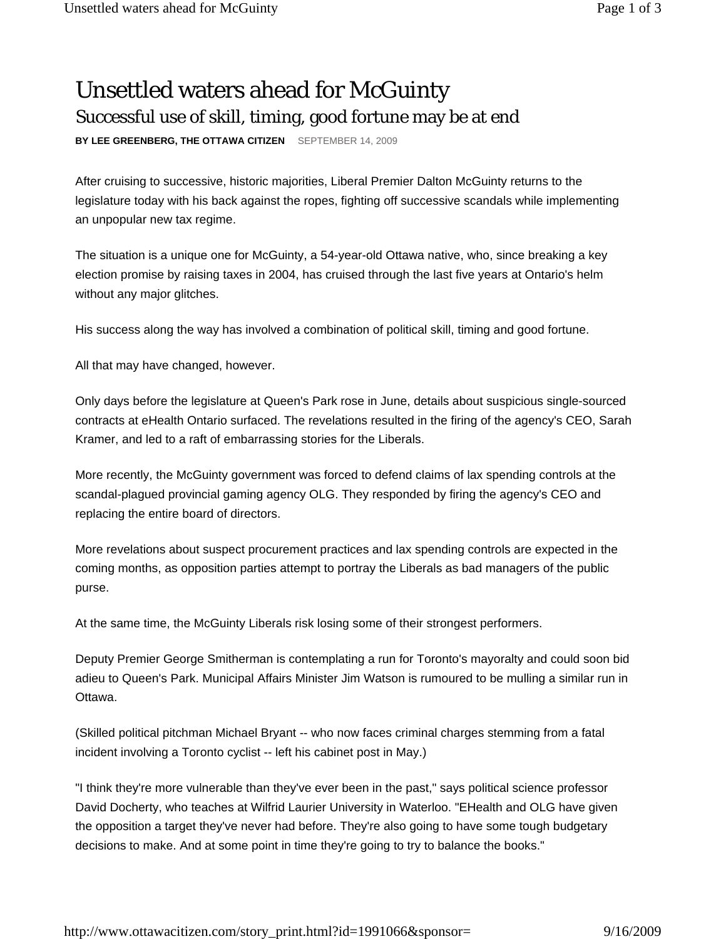## Unsettled waters ahead for McGuinty Successful use of skill, timing, good fortune may be at end

**BY LEE GREENBERG, THE OTTAWA CITIZEN** SEPTEMBER 14, 2009

After cruising to successive, historic majorities, Liberal Premier Dalton McGuinty returns to the legislature today with his back against the ropes, fighting off successive scandals while implementing an unpopular new tax regime.

The situation is a unique one for McGuinty, a 54-year-old Ottawa native, who, since breaking a key election promise by raising taxes in 2004, has cruised through the last five years at Ontario's helm without any major glitches.

His success along the way has involved a combination of political skill, timing and good fortune.

All that may have changed, however.

Only days before the legislature at Queen's Park rose in June, details about suspicious single-sourced contracts at eHealth Ontario surfaced. The revelations resulted in the firing of the agency's CEO, Sarah Kramer, and led to a raft of embarrassing stories for the Liberals.

More recently, the McGuinty government was forced to defend claims of lax spending controls at the scandal-plagued provincial gaming agency OLG. They responded by firing the agency's CEO and replacing the entire board of directors.

More revelations about suspect procurement practices and lax spending controls are expected in the coming months, as opposition parties attempt to portray the Liberals as bad managers of the public purse.

At the same time, the McGuinty Liberals risk losing some of their strongest performers.

Deputy Premier George Smitherman is contemplating a run for Toronto's mayoralty and could soon bid adieu to Queen's Park. Municipal Affairs Minister Jim Watson is rumoured to be mulling a similar run in Ottawa.

(Skilled political pitchman Michael Bryant -- who now faces criminal charges stemming from a fatal incident involving a Toronto cyclist -- left his cabinet post in May.)

"I think they're more vulnerable than they've ever been in the past," says political science professor David Docherty, who teaches at Wilfrid Laurier University in Waterloo. "EHealth and OLG have given the opposition a target they've never had before. They're also going to have some tough budgetary decisions to make. And at some point in time they're going to try to balance the books."

http://www.ottawacitizen.com/story\_print.html?id=1991066&sponsor= 9/16/2009